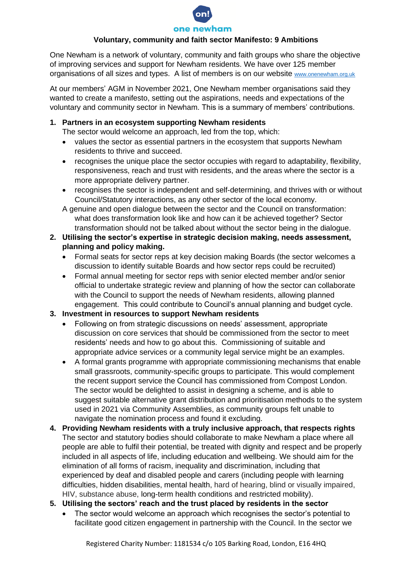

### **Voluntary, community and faith sector Manifesto: 9 Ambitions**

One Newham is a network of voluntary, community and faith groups who share the objective of improving services and support for Newham residents. We have over 125 member organisations of all sizes and types. A list of members is on our website [www.onenewham.org.uk](http://www.onenewham.org.uk/)

At our members' AGM in November 2021, One Newham member organisations said they wanted to create a manifesto, setting out the aspirations, needs and expectations of the voluntary and community sector in Newham. This is a summary of members' contributions.

**1. Partners in an ecosystem supporting Newham residents**

The sector would welcome an approach, led from the top, which:

- values the sector as essential partners in the ecosystem that supports Newham residents to thrive and succeed.
- recognises the unique place the sector occupies with regard to adaptability, flexibility, responsiveness, reach and trust with residents, and the areas where the sector is a more appropriate delivery partner.
- recognises the sector is independent and self-determining, and thrives with or without Council/Statutory interactions, as any other sector of the local economy.

A genuine and open dialogue between the sector and the Council on transformation: what does transformation look like and how can it be achieved together? Sector transformation should not be talked about without the sector being in the dialogue.

- **2. Utilising the sector's expertise in strategic decision making, needs assessment, planning and policy making.**
	- Formal seats for sector reps at key decision making Boards (the sector welcomes a discussion to identify suitable Boards and how sector reps could be recruited)
	- Formal annual meeting for sector reps with senior elected member and/or senior official to undertake strategic review and planning of how the sector can collaborate with the Council to support the needs of Newham residents, allowing planned engagement. This could contribute to Council's annual planning and budget cycle.

## **3. Investment in resources to support Newham residents**

- Following on from strategic discussions on needs' assessment, appropriate discussion on core services that should be commissioned from the sector to meet residents' needs and how to go about this. Commissioning of suitable and appropriate advice services or a community legal service might be an examples.
- A formal grants programme with appropriate commissioning mechanisms that enable small grassroots, community-specific groups to participate. This would complement the recent support service the Council has commissioned from Compost London. The sector would be delighted to assist in designing a scheme, and is able to suggest suitable alternative grant distribution and prioritisation methods to the system used in 2021 via Community Assemblies, as community groups felt unable to navigate the nomination process and found it excluding.
- **4. Providing Newham residents with a truly inclusive approach, that respects rights** The sector and statutory bodies should collaborate to make Newham a place where all people are able to fulfil their potential, be treated with dignity and respect and be properly included in all aspects of life, including education and wellbeing. We should aim for the elimination of all forms of racism, inequality and discrimination, including that experienced by deaf and disabled people and carers (including people with learning difficulties, hidden disabilities, mental health, hard of hearing, blind or visually impaired, HIV, substance abuse, long-term health conditions and restricted mobility).
- **5. Utilising the sectors' reach and the trust placed by residents in the sector** 
	- The sector would welcome an approach which recognises the sector's potential to facilitate good citizen engagement in partnership with the Council. In the sector we